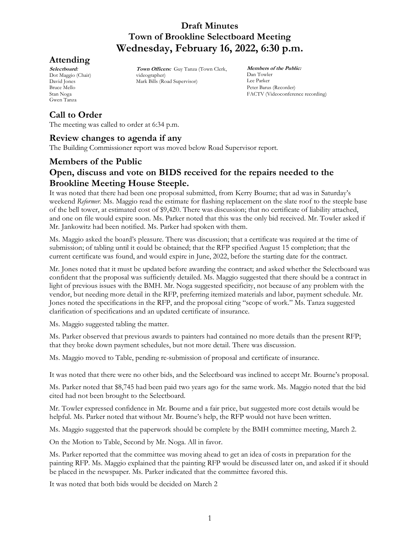# **Attending**

**Selectboard:** Dot Maggio (Chair) David Jones Bruce Mello Stan Noga Gwen Tanza

**Town Officers:** Guy Tanza (Town Clerk, videographer) Mark Bills (Road Supervisor)

**Members of the Public:** Dan Towler Lee Parker Peter Barus (Recorder) FACTV (Videoconference recording)

# **Call to Order**

The meeting was called to order at 6:34 p.m.

# **Review changes to agenda if any**

The Building Commissioner report was moved below Road Supervisor report.

# **Members of the Public Open, discuss and vote on BIDS received for the repairs needed to the Brookline Meeting House Steeple.**

It was noted that there had been one proposal submitted, from Kerry Bourne; that ad was in Saturday's weekend *Reformer.* Ms. Maggio read the estimate for flashing replacement on the slate roof to the steeple base of the bell tower, at estimated cost of \$9,420. There was discussion; that no certificate of liability attached, and one on file would expire soon. Ms. Parker noted that this was the only bid received. Mr. Towler asked if Mr. Jankowitz had been notified. Ms. Parker had spoken with them.

Ms. Maggio asked the board's pleasure. There was discussion; that a certificate was required at the time of submission; of tabling until it could be obtained; that the RFP specified August 15 completion; that the current certificate was found, and would expire in June, 2022, before the starting date for the contract.

Mr. Jones noted that it must be updated before awarding the contract; and asked whether the Selectboard was confident that the proposal was sufficiently detailed. Ms. Maggio suggested that there should be a contract in light of previous issues with the BMH. Mr. Noga suggested specificity, not because of any problem with the vendor, but needing more detail in the RFP, preferring itemized materials and labor, payment schedule. Mr. Jones noted the specifications in the RFP, and the proposal citing "scope of work." Ms. Tanza suggested clarification of specifications and an updated certificate of insurance.

Ms. Maggio suggested tabling the matter.

Ms. Parker observed that previous awards to painters had contained no more details than the present RFP; that they broke down payment schedules, but not more detail. There was discussion.

Ms. Maggio moved to Table, pending re-submission of proposal and certificate of insurance.

It was noted that there were no other bids, and the Selectboard was inclined to accept Mr. Bourne's proposal.

Ms. Parker noted that \$8,745 had been paid two years ago for the same work. Ms. Maggio noted that the bid cited had not been brought to the Selectboard.

Mr. Towler expressed confidence in Mr. Bourne and a fair price, but suggested more cost details would be helpful. Ms. Parker noted that without Mr. Bourne's help, the RFP would not have been written.

Ms. Maggio suggested that the paperwork should be complete by the BMH committee meeting, March 2.

On the Motion to Table, Second by Mr. Noga. All in favor.

Ms. Parker reported that the committee was moving ahead to get an idea of costs in preparation for the painting RFP. Ms. Maggio explained that the painting RFP would be discussed later on, and asked if it should be placed in the newspaper. Ms. Parker indicated that the committee favored this.

It was noted that both bids would be decided on March 2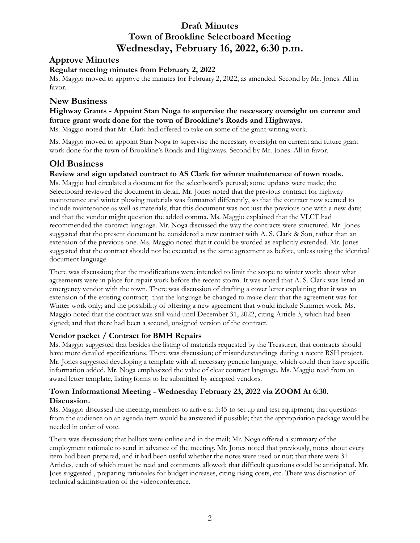# **Approve Minutes**

### **Regular meeting minutes from February 2, 2022**

Ms. Maggio moved to approve the minutes for February 2, 2022, as amended. Second by Mr. Jones. All in favor.

## **New Business**

## **Highway Grants - Appoint Stan Noga to supervise the necessary oversight on current and future grant work done for the town of Brookline's Roads and Highways.**

Ms. Maggio noted that Mr. Clark had offered to take on some of the grant-writing work.

Ms. Maggio moved to appoint Stan Noga to supervise the necessary oversight on current and future grant work done for the town of Brookline's Roads and Highways. Second by Mr. Jones. All in favor.

# **Old Business**

#### **Review and sign updated contract to AS Clark for winter maintenance of town roads.**

Ms. Maggio had circulated a document for the selectboard's perusal; some updates were made; the Selectboard reviewed the document in detail. Mr. Jones noted that the previous contract for highway maintenance and winter plowing materials was formatted differently, so that the contract now seemed to include maintenance as well as materials; that this document was not just the previous one with a new date; and that the vendor might question the added comma. Ms. Maggio explained that the VLCT had recommended the contract language. Mr. Noga discussed the way the contracts were structured. Mr. Jones suggested that the present document be considered a new contract with A. S. Clark & Son, rather than an extension of the previous one. Ms. Maggio noted that it could be worded as explicitly extended. Mr. Jones suggested that the contract should not be executed as the same agreement as before, unless using the identical document language.

There was discussion; that the modifications were intended to limit the scope to winter work; about what agreements were in place for repair work before the recent storm. It was noted that A. S. Clark was listed an emergency vendor with the town. There was discussion of drafting a cover letter explaining that it was an extension of the existing contract; that the language be changed to make clear that the agreement was for Winter work only; and the possibility of offering a new agreement that would include Summer work. Ms. Maggio noted that the contract was still valid until December 31, 2022, citing Article 3, which had been signed; and that there had been a second, unsigned version of the contract.

## **Vendor packet / Contract for BMH Repairs**

Ms. Maggio suggested that besides the listing of materials requested by the Treasurer, that contracts should have more detailed specifications. There was discussion; of misunderstandings during a recent RSH project. Mr. Jones suggested developing a template with all necessary generic language, which could then have specific information added. Mr. Noga emphasized the value of clear contract language. Ms. Maggio read from an award letter template, listing forms to be submitted by accepted vendors.

## **Town Informational Meeting - Wednesday February 23, 2022 via ZOOM At 6:30. Discussion.**

Ms. Maggio discussed the meeting, members to arrive at 5:45 to set up and test equipment; that questions from the audience on an agenda item would be answered if possible; that the appropriation package would be needed in order of vote.

There was discussion; that ballots were online and in the mail; Mr. Noga offered a summary of the employment rationale to send in advance of the meeting. Mr. Jones noted that previously, notes about every item had been prepared, and it had been useful whether the notes were used or not; that there were 31 Articles, each of which must be read and comments allowed; that difficult questions could be anticipated. Mr. Joes suggested , preparing rationales for budget increases, citing rising costs, etc. There was discussion of technical administration of the videoconference.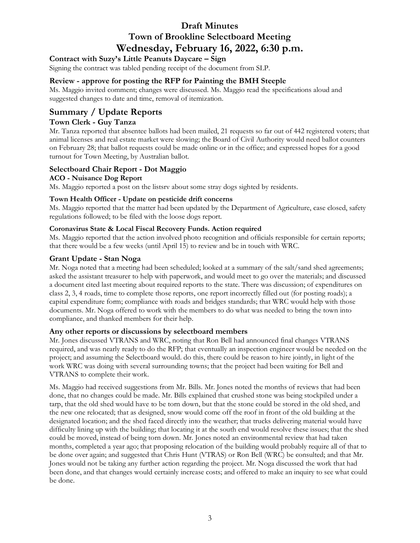## **Contract with Suzy's Little Peanuts Daycare – Sign**

Signing the contract was tabled pending receipt of the document from SLP.

### **Review - approve for posting the RFP for Painting the BMH Steeple**

Ms. Maggio invited comment; changes were discussed. Ms. Maggio read the specifications aloud and suggested changes to date and time, removal of itemization.

# **Summary / Update Reports**

#### **Town Clerk - Guy Tanza**

Mr. Tanza reported that absentee ballots had been mailed, 21 requests so far out of 442 registered voters; that animal licenses and real estate market were slowing; the Board of Civil Authority would need ballot counters on February 28; that ballot requests could be made online or in the office; and expressed hopes for a good turnout for Town Meeting, by Australian ballot.

## **Selectboard Chair Report - Dot Maggio**

#### **ACO - Nuisance Dog Report**

Ms. Maggio reported a post on the listsrv about some stray dogs sighted by residents.

#### **Town Health Officer - Update on pesticide drift concerns**

Ms. Maggio reported that the matter had been updated by the Department of Agriculture, case closed, safety regulations followed; to be filed with the loose dogs report.

#### **Coronavirus State & Local Fiscal Recovery Funds. Action required**

Ms. Maggio reported that the action involved photo recognition and officials responsible for certain reports; that there would be a few weeks (until April 15) to review and be in touch with WRC.

#### **Grant Update - Stan Noga**

Mr. Noga noted that a meeting had been scheduled; looked at a summary of the salt/sand shed agreements; asked the assistant treasurer to help with paperwork, and would meet to go over the materials; and discussed a document cited last meeting about required reports to the state. There was discussion; of expenditures on class 2, 3, 4 roads, time to complete those reports, one report incorrectly filled out (for posting roads); a capital expenditure form; compliance with roads and bridges standards; that WRC would help with those documents. Mr. Noga offered to work with the members to do what was needed to bring the town into compliance, and thanked members for their help.

#### **Any other reports or discussions by selectboard members**

Mr. Jones discussed VTRANS and WRC, noting that Ron Bell had announced final changes VTRANS required, and was nearly ready to do the RFP; that eventually an inspection engineer would be needed on the project; and assuming the Selectboard would. do this, there could be reason to hire jointly, in light of the work WRC was doing with several surrounding towns; that the project had been waiting for Bell and VTRANS to complete their work.

Ms. Maggio had received suggestions from Mr. Bills. Mr. Jones noted the months of reviews that had been done, that no changes could be made. Mr. Bills explained that crushed stone was being stockpiled under a tarp, that the old shed would have to be torn down, but that the stone could be stored in the old shed, and the new one relocated; that as designed, snow would come off the roof in front of the old building at the designated location; and the shed faced directly into the weather; that trucks delivering material would have difficulty lining up with the building; that locating it at the south end would resolve these issues; that the shed could be moved, instead of being torn down. Mr. Jones noted an environmental review that had taken months, completed a year ago; that proposing relocation of the building would probably require all of that to be done over again; and suggested that Chris Hunt (VTRAS) or Ron Bell (WRC) be consulted; and that Mr. Jones would not be taking any further action regarding the project. Mr. Noga discussed the work that had been done, and that changes would certainly increase costs; and offered to make an inquiry to see what could be done.